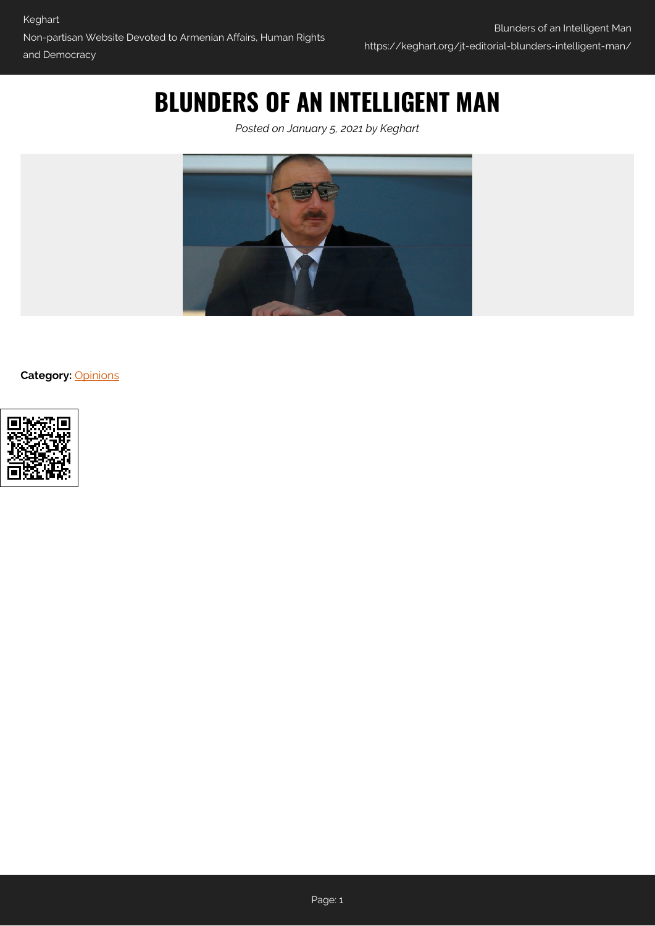# **BLUNDERS OF AN INTELLIGENT MAN**

*Posted on January 5, 2021 by Keghart*



**Category:** [Opinions](https://keghart.org/category/opinions/)

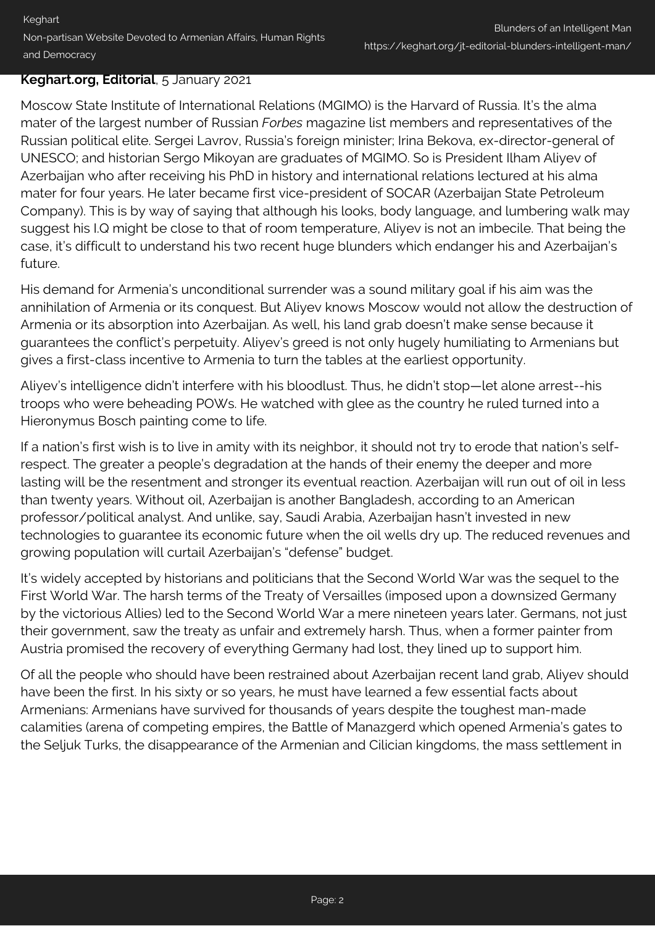### **Keghart.org, Editorial**, 5 January 2021

Moscow State Institute of International Relations (MGIMO) is the Harvard of Russia. It's the alma mater of the largest number of Russian *Forbes* magazine list members and representatives of the Russian political elite. Sergei Lavrov, Russia's foreign minister; Irina Bekova, ex-director-general of UNESCO; and historian Sergo Mikoyan are graduates of MGIMO. So is President Ilham Aliyev of Azerbaijan who after receiving his PhD in history and international relations lectured at his alma mater for four years. He later became first vice-president of SOCAR (Azerbaijan State Petroleum Company). This is by way of saying that although his looks, body language, and lumbering walk may suggest his I.Q might be close to that of room temperature, Aliyev is not an imbecile. That being the case, it's difficult to understand his two recent huge blunders which endanger his and Azerbaijan's future.

His demand for Armenia's unconditional surrender was a sound military goal if his aim was the annihilation of Armenia or its conquest. But Aliyev knows Moscow would not allow the destruction of Armenia or its absorption into Azerbaijan. As well, his land grab doesn't make sense because it guarantees the conflict's perpetuity. Aliyev's greed is not only hugely humiliating to Armenians but gives a first-class incentive to Armenia to turn the tables at the earliest opportunity.

Aliyev's intelligence didn't interfere with his bloodlust. Thus, he didn't stop—let alone arrest--his troops who were beheading POWs. He watched with glee as the country he ruled turned into a Hieronymus Bosch painting come to life.

If a nation's first wish is to live in amity with its neighbor, it should not try to erode that nation's selfrespect. The greater a people's degradation at the hands of their enemy the deeper and more lasting will be the resentment and stronger its eventual reaction. Azerbaijan will run out of oil in less than twenty years. Without oil, Azerbaijan is another Bangladesh, according to an American professor/political analyst. And unlike, say, Saudi Arabia, Azerbaijan hasn't invested in new technologies to guarantee its economic future when the oil wells dry up. The reduced revenues and growing population will curtail Azerbaijan's "defense" budget.

It's widely accepted by historians and politicians that the Second World War was the sequel to the First World War. The harsh terms of the Treaty of Versailles (imposed upon a downsized Germany by the victorious Allies) led to the Second World War a mere nineteen years later. Germans, not just their government, saw the treaty as unfair and extremely harsh. Thus, when a former painter from Austria promised the recovery of everything Germany had lost, they lined up to support him.

Of all the people who should have been restrained about Azerbaijan recent land grab, Aliyev should have been the first. In his sixty or so years, he must have learned a few essential facts about Armenians: Armenians have survived for thousands of years despite the toughest man-made calamities (arena of competing empires, the Battle of Manazgerd which opened Armenia's gates to the Seljuk Turks, the disappearance of the Armenian and Cilician kingdoms, the mass settlement in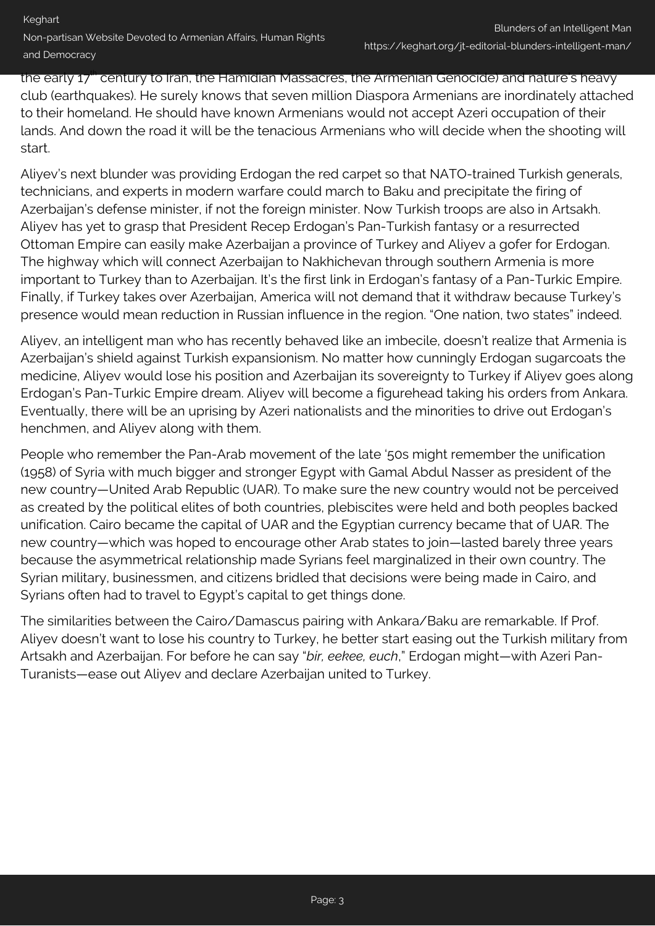the early 17<sup>th</sup> century to Iran, the Hamidian Massacres, the Armenian Genocide) and nature's heavy club (earthquakes). He surely knows that seven million Diaspora Armenians are inordinately attached to their homeland. He should have known Armenians would not accept Azeri occupation of their lands. And down the road it will be the tenacious Armenians who will decide when the shooting will start.

Aliyev's next blunder was providing Erdogan the red carpet so that NATO-trained Turkish generals, technicians, and experts in modern warfare could march to Baku and precipitate the firing of Azerbaijan's defense minister, if not the foreign minister. Now Turkish troops are also in Artsakh. Aliyev has yet to grasp that President Recep Erdogan's Pan-Turkish fantasy or a resurrected Ottoman Empire can easily make Azerbaijan a province of Turkey and Aliyev a gofer for Erdogan. The highway which will connect Azerbaijan to Nakhichevan through southern Armenia is more important to Turkey than to Azerbaijan. It's the first link in Erdogan's fantasy of a Pan-Turkic Empire. Finally, if Turkey takes over Azerbaijan, America will not demand that it withdraw because Turkey's presence would mean reduction in Russian influence in the region. "One nation, two states" indeed.

Aliyev, an intelligent man who has recently behaved like an imbecile, doesn't realize that Armenia is Azerbaijan's shield against Turkish expansionism. No matter how cunningly Erdogan sugarcoats the medicine, Aliyev would lose his position and Azerbaijan its sovereignty to Turkey if Aliyev goes along Erdogan's Pan-Turkic Empire dream. Aliyev will become a figurehead taking his orders from Ankara. Eventually, there will be an uprising by Azeri nationalists and the minorities to drive out Erdogan's henchmen, and Aliyev along with them.

People who remember the Pan-Arab movement of the late '50s might remember the unification (1958) of Syria with much bigger and stronger Egypt with Gamal Abdul Nasser as president of the new country—United Arab Republic (UAR). To make sure the new country would not be perceived as created by the political elites of both countries, plebiscites were held and both peoples backed unification. Cairo became the capital of UAR and the Egyptian currency became that of UAR. The new country—which was hoped to encourage other Arab states to join—lasted barely three years because the asymmetrical relationship made Syrians feel marginalized in their own country. The Syrian military, businessmen, and citizens bridled that decisions were being made in Cairo, and Syrians often had to travel to Egypt's capital to get things done.

The similarities between the Cairo/Damascus pairing with Ankara/Baku are remarkable. If Prof. Aliyev doesn't want to lose his country to Turkey, he better start easing out the Turkish military from Artsakh and Azerbaijan. For before he can say "*bir, eekee, euch*," Erdogan might—with Azeri Pan-Turanists—ease out Aliyev and declare Azerbaijan united to Turkey.